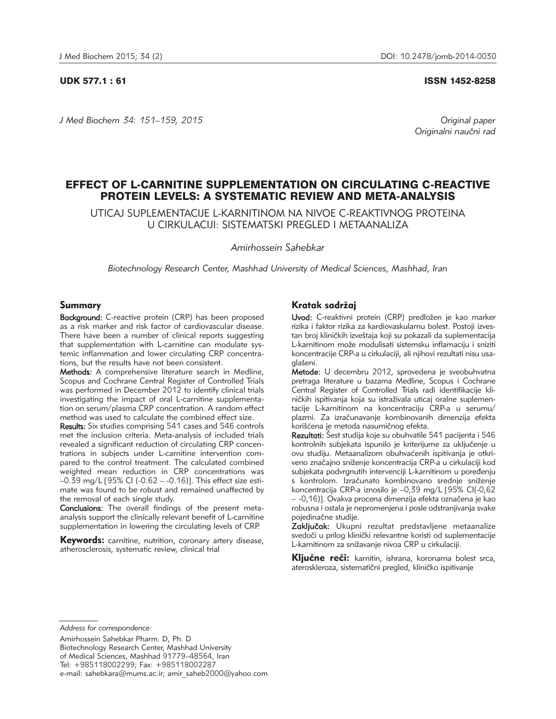*J Med Biochem 34: 151–159, 2015 Original paper*

UDK 577.1 : 61 ISSN 1452-8258

Originalni naučni rad

# EFFECT OF L-CARNITINE SUPPLEMENTATION ON CIRCULATING C-REACTIVE PROTEIN LEVELS: A SYSTEMATIC REVIEW AND META-ANALYSIS

UTICAJ SUPLEMENTACIJE L-KARNITINOM NA NIVOE C-REAKTIVNOG PROTEINA U CIRKULACIJI: SISTEMATSKI PREGLED I METAANALIZA

*Amirhossein Sahebkar*

*Biotechnology Research Center, Mashhad University of Medical Sciences, Mashhad, Iran*

# Summary

Background: C-reactive protein (CRP) has been proposed as a risk marker and risk factor of cardiovascular disease. There have been a number of clinical reports suggesting that supplementation with L-carnitine can modulate systemic inflammation and lower circulating CRP concentrations, but the results have not been consistent.

Methods: A comprehensive literature search in Medline, Scopus and Cochrane Central Register of Controlled Trials was performed in December 2012 to identify clinical trials investigating the impact of oral L-carnitine supplementation on serum/plasma CRP concentration. A random effect method was used to calculate the combined effect size.

Results: Six studies comprising 541 cases and 546 controls met the inclusion criteria. Meta-analysis of included trials revealed a significant reduction of circulating CRP concentrations in subjects under L-carnitine intervention compared to the control treatment. The calculated combined weighted mean reduction in CRP concentrations was –0.39 mg/L [95% CI (-0.62 – -0.16)]. This effect size estimate was found to be robust and remained unaffected by the removal of each single study.

Conclusions: The overall findings of the present metaanalysis support the clinically relevant benefit of L-carnitine supplementation in lowering the circulating levels of CRP.

**Keywords:** carnitine, nutrition, coronary artery disease, atherosclerosis, systematic review, clinical trial

# Kratak sadržaj

Uvod: C-reaktivni protein (CRP) predložen je kao marker rizika i faktor rizika za kardiovaskularnu bolest. Postoji izvestan broj kliničkih izveštaja koji su pokazali da suplementacija L-karnitinom može modulisati sistemsku inflamaciju i sniziti koncentracije CRP-a u cirkulaciji, ali njihovi rezultati nisu usaglašeni.

Metode: U decembru 2012, sprovedena je sveobuhvatna pretraga literature u bazama Medline, Scopus i Cochrane Central Register of Controlled Trials radi identifikacije kliničkih ispitivanja koja su istraživala uticaj oralne suplementacije L-karnitinom na koncentraciju CRP-a u serumu/ plazmi. Za izračunavanje kombinovanih dimenzija efekta korišćena je metoda nasumičnog efekta.

Rezultati: Šest studija koje su obuhvatile 541 pacijenta i 546 kontrolnih subjekata ispunilo je kriterijume za uključenje u ovu studiju. Metaanalizom obuhvaćenih ispitivanja je otkriveno značajno sniženje koncentracija CRP-a u cirkulaciji kod subjekata podvrgnutih intervenciji L-karnitinom u poređenju s kontrolom. Izračunato kombinovano srednje sniženje koncentracija CRP-a iznosilo je –0,39 mg/L [95% CI(-0,62 – -0,16)]. Ovakva procena dimenzija efekta označena je kao robusna i ostala je nepromenjena i posle odstranjivanja svake pojedinačne studije.

Zaključak: Ukupni rezultat predstavljene metaanalize svedoči u prilog klinički relevantne koristi od suplementacije L-karnitinom za snižavanje nivoa CRP u cirkulaciji.

Ključne reči: karnitin, ishrana, koronarna bolest srca, ateroskleroza, sistematični pregled, kliničko ispitivanje

*Address for correspondence:*

Amirhossein Sahebkar Pharm. D, Ph. D Biotechnology Research Center, Mashhad University of Medical Sciences, Mashhad 91779–48564, Iran Tel: +985118002299; Fax: +985118002287 e-mail: sahebkara@mums.ac.ir; amir\_saheb2000@yahoo.com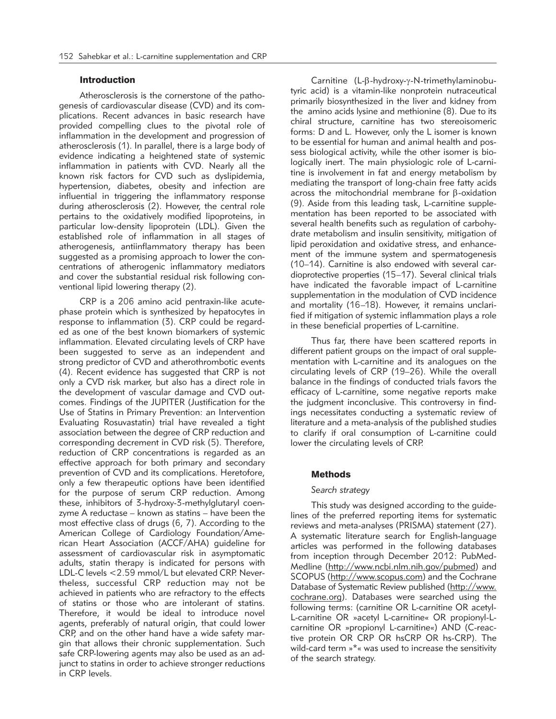# Introduction

Atherosclerosis is the cornerstone of the pathogenesis of cardiovascular disease (CVD) and its complications. Recent advances in basic research have provided compelling clues to the pivotal role of inflammation in the development and progression of atherosclerosis (1). In parallel, there is a large body of evidence indicating a heightened state of systemic inflammation in patients with CVD. Nearly all the known risk factors for CVD such as dyslipidemia, hypertension, diabetes, obesity and infection are influential in triggering the inflammatory response during atherosclerosis (2). However, the central role pertains to the oxidatively modified lipoproteins, in particular low-density lipoprotein (LDL). Given the established role of inflammation in all stages of atherogenesis, antiinflammatory therapy has been suggested as a promising approach to lower the concentrations of atherogenic inflammatory mediators and cover the substantial residual risk following conventional lipid lowering therapy (2).

CRP is a 206 amino acid pentraxin-like acutephase protein which is synthesized by hepatocytes in response to inflammation (3). CRP could be regarded as one of the best known biomarkers of systemic inflammation. Elevated circulating levels of CRP have been suggested to serve as an independent and strong predictor of CVD and atherothrombotic events (4). Recent evidence has suggested that CRP is not only a CVD risk marker, but also has a direct role in the development of vascular damage and CVD outcomes. Findings of the JUPITER (Justification for the Use of Statins in Primary Prevention: an Intervention Evaluating Rosuvastatin) trial have revealed a tight association between the degree of CRP reduction and corresponding decrement in CVD risk (5). Therefore, reduction of CRP concentrations is regarded as an effective approach for both primary and secondary prevention of CVD and its complications. Heretofore, only a few therapeutic options have been identified for the purpose of serum CRP reduction. Among these, inhibitors of 3-hydroxy-3-methylglutaryl coenzyme A reductase – known as statins – have been the most effective class of drugs (6, 7). According to the American College of Cardiology Foundation/American Heart Association (ACCF/AHA) guideline for assessment of cardiovascular risk in asymptomatic adults, statin therapy is indicated for persons with LDL-C levels < 2.59 mmol/L but elevated CRP. Nevertheless, successful CRP reduction may not be achieved in patients who are refractory to the effects of statins or those who are intolerant of statins. Therefore, it would be ideal to introduce novel agents, preferably of natural origin, that could lower CRP, and on the other hand have a wide safety margin that allows their chronic supplementation. Such safe CRP-lowering agents may also be used as an adjunct to statins in order to achieve stronger reductions in CRP levels.

Carnitine  $(L-\beta-hydroxy-y-N-trimethylaminobu$ tyric acid) is a vitamin-like nonprotein nutraceutical primarily biosynthesized in the liver and kidney from the amino acids lysine and methionine (8). Due to its chiral structure, carnitine has two stereoisomeric forms: D and L. However, only the L isomer is known to be essential for human and animal health and possess biological activity, while the other isomer is biologically inert. The main physiologic role of L-carnitine is involvement in fat and energy metabolism by mediating the transport of long-chain free fatty acids across the mitochondrial membrane for  $\beta$ -oxidation (9). Aside from this leading task, L-carnitine supplementation has been reported to be associated with several health benefits such as regulation of carbohydrate metabolism and insulin sensitivity, mitigation of lipid peroxidation and oxidative stress, and enhancement of the immune system and spermatogenesis (10–14). Carnitine is also endowed with several cardioprotective properties (15–17). Several clinical trials have indicated the favorable impact of L-carnitine supplementation in the modulation of CVD incidence and mortality (16–18). However, it remains unclarified if mitigation of systemic inflammation plays a role in these beneficial properties of L-carnitine.

Thus far, there have been scattered reports in different patient groups on the impact of oral supplementation with L-carnitine and its analogues on the circulating levels of CRP (19–26). While the overall balance in the findings of conducted trials favors the efficacy of L-carnitine, some negative reports make the judgment inconclusive. This controversy in findings necessitates conducting a systematic review of literature and a meta-analysis of the published studies to clarify if oral consumption of L-carnitine could lower the circulating levels of CRP.

# Methods

### *Search strategy*

This study was designed according to the guidelines of the preferred reporting items for systematic reviews and meta-analyses (PRISMA) statement (27). A systematic literature search for English-language articles was performed in the following databases from inception through December 2012: PubMed-Medline (http://www.ncbi.nlm.nih.gov/pubmed) and SCOPUS (http://www.scopus.com) and the Cochrane Database of Systematic Review published (http://www. cochrane.org). Databases were searched using the following terms: (carnitine OR L-carnitine OR acetyl-L-carnitine OR »acetyl L-carnitine« OR propionyl-Lcarnitine OR »propionyl L-carnitine«) AND (C-reactive protein OR CRP OR hsCRP OR hs-CRP). The wild-card term  $*\ast$  was used to increase the sensitivity of the search strategy.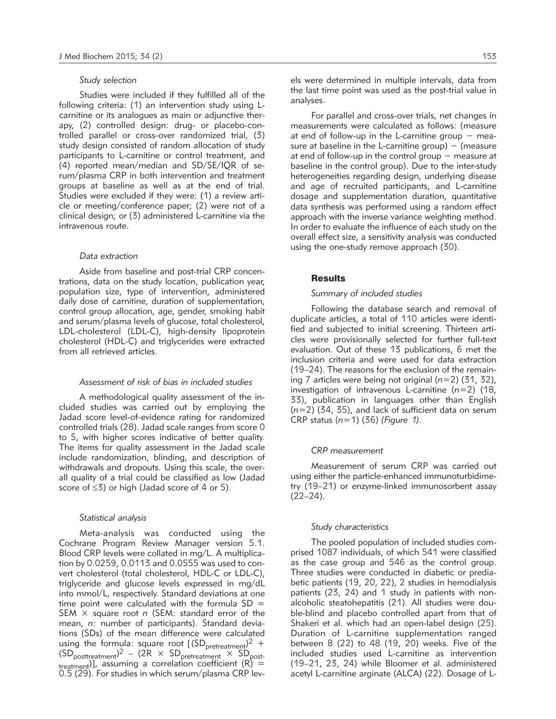### *Study selection*

Studies were included if they fulfilled all of the following criteria: (1) an intervention study using Lcarnitine or its analogues as main or adjunctive therapy, (2) controlled design: drug- or placebo-controlled parallel or cross-over randomized trial, (3) study design consisted of random allocation of study participants to L-carnitine or control treatment, and (4) reported mean/median and SD/SE/IQR of serum/plasma CRP in both intervention and treatment groups at baseline as well as at the end of trial. Studies were excluded if they were: (1) a review article or meeting/conference paper; (2) were not of a clinical design; or (3) administered L-carnitine via the intravenous route.

#### *Data extraction*

Aside from baseline and post-trial CRP concentrations, data on the study location, publication year, population size, type of intervention, administered daily dose of carnitine, duration of supplementation, control group allocation, age, gender, smoking habit and serum/plasma levels of glucose, total cholesterol, LDL-cholesterol (LDL-C), high-density lipoprotein cholesterol (HDL-C) and triglycerides were extracted from all retrieved articles.

# *Assessment of risk of bias in included studies*

A methodological quality assessment of the included studies was carried out by employing the Jadad score level-of-evidence rating for randomized controlled trials (28). Jadad scale ranges from score 0 to 5, with higher scores indicative of better quality. The items for quality assessment in the Jadad scale include randomization, blinding, and description of withdrawals and dropouts. Using this scale, the overall quality of a trial could be classified as low (Jadad score of  $\leq 3$ ) or high (Jadad score of 4 or 5).

## *Statistical analysis*

Meta-analysis was conducted using the Cochrane Program Review Manager version 5.1. Blood CRP levels were collated in mg/L. A multiplication by 0.0259, 0.0113 and 0.0555 was used to convert cholesterol (total cholesterol, HDL-C or LDL-C), triglyceride and glucose levels expressed in mg/dL into mmol/L, respectively. Standard deviations at one time point were calculated with the formula  $SD =$ SEM × square root *n* (SEM: standard error of the mean, *n*: number of participants). Standard deviations (SDs) of the mean difference were calculated using the formula: square root  $[(SD<sub>pretreatment</sub>)<sup>2</sup> +$  $(SD_{\text{posttreatment}})^2 - (2R \times SD_{\text{pretreatment}} \times SD_{\text{post}})$ treatment)], assuming a correlation coefficient (R) = 0.5 (29). For studies in which serum/plasma CRP levels were determined in multiple intervals, data from the last time point was used as the post-trial value in analyses.

For parallel and cross-over trials, net changes in measurements were calculated as follows: (measure at end of follow-up in the L-carnitine group  $-$  measure at baseline in the L-carnitine group)  $-$  (measure at end of follow-up in the control group − measure at baseline in the control group). Due to the inter-study heterogeneities regarding design, underlying disease and age of recruited participants, and L-carnitine dosage and supplementation duration, quantitative data synthesis was performed using a random effect approach with the inverse variance weighting method. In order to evaluate the influence of each study on the overall effect size, a sensitivity analysis was conducted using the one-study remove approach (30).

#### **Results**

#### *Summary of included studies*

Following the database search and removal of duplicate articles, a total of 110 articles were identified and subjected to initial screening. Thirteen articles were provisionally selected for further full-text evaluation. Out of these 13 publications, 6 met the inclusion criteria and were used for data extraction (19–24). The reasons for the exclusion of the remaining 7 articles were being not original (*n*=2) (31, 32), investigation of intravenous L-carnitine (*n*=2) (18, 33), publication in languages other than English (*n*=2) (34, 35), and lack of sufficient data on serum CRP status (*n*=1) (36) *(Figure 1).* 

# *CRP measurement*

Measurement of serum CRP was carried out using either the particle-enhanced immunoturbidimetry (19–21) or enzyme-linked immunosorbent assay  $(22-24)$ .

#### *Study characteristics*

The pooled population of included studies comprised 1087 individuals, of which 541 were classified as the case group and 546 as the control group. Three studies were conducted in diabetic or prediabetic patients (19, 20, 22), 2 studies in hemodialysis patients (23, 24) and 1 study in patients with nonalcoholic steatohepatitis (21). All studies were double-blind and placebo controlled apart from that of Shakeri et al. which had an open-label design (25). Duration of L-carnitine supplementation ranged between 8 (22) to 48 (19, 20) weeks. Five of the included studies used L-carnitine as intervention (19–21, 23, 24) while Bloomer et al. administered acetyl L-carnitine arginate (ALCA) (22). Dosage of L-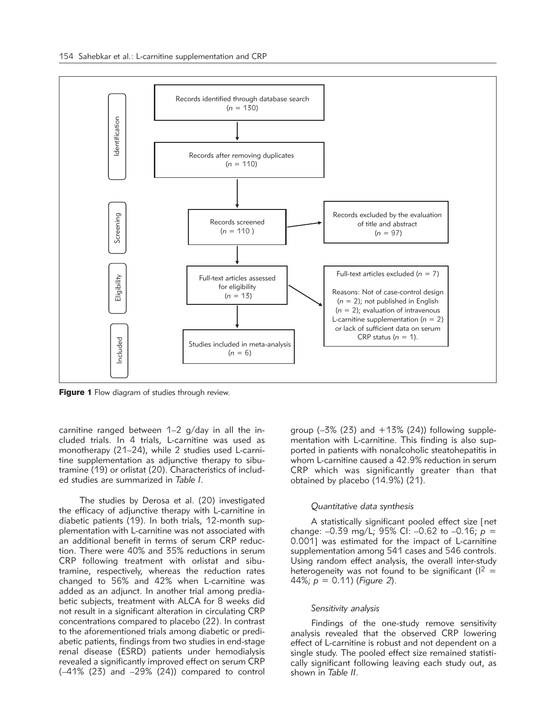

**Figure 1** Flow diagram of studies through review.

carnitine ranged between  $1-2$  g/day in all the included trials. In 4 trials, L-carnitine was used as monotherapy (21–24), while 2 studies used L-carnitine supplementation as adjunctive therapy to sibutramine (19) or orlistat (20). Characteristics of included studies are summarized in *Table I*.

The studies by Derosa et al. (20) investigated the efficacy of adjunctive therapy with L-carnitine in diabetic patients (19). In both trials, 12-month supplementation with L-carnitine was not associated with an additional benefit in terms of serum CRP reduction. There were 40% and 35% reductions in serum CRP following treatment with orlistat and sibutramine, respectively, whereas the reduction rates changed to 56% and 42% when L-carnitine was added as an adjunct. In another trial among prediabetic subjects, treatment with ALCA for 8 weeks did not result in a significant alteration in circulating CRP concentrations compared to placebo (22). In contrast to the aforementioned trials among diabetic or prediabetic patients, findings from two studies in end-stage renal disease (ESRD) patients under hemodialysis revealed a significantly improved effect on serum CRP (–41% (23) and –29% (24)) compared to control group  $(-3\% (23)$  and  $+13\% (24)$ ) following supplementation with L-carnitine. This finding is also supported in patients with nonalcoholic steatohepatitis in whom L-carnitine caused a 42.9% reduction in serum CRP which was significantly greater than that obtained by placebo (14.9%) (21).

## *Quantitative data synthesis*

A statistically significant pooled effect size [net change: –0.39 mg/L; 95% CI: –0.62 to –0.16; *p* = 0.001] was estimated for the impact of L-carnitine supplementation among 541 cases and 546 controls. Using random effect analysis, the overall inter-study heterogeneity was not found to be significant ( $1^2$  = 44%; *p* = 0.11) (*Figure 2*).

#### *Sensitivity analysis*

Findings of the one-study remove sensitivity analysis revealed that the observed CRP lowering effect of L-carnitine is robust and not dependent on a single study. The pooled effect size remained statistically significant following leaving each study out, as shown in *Table II*.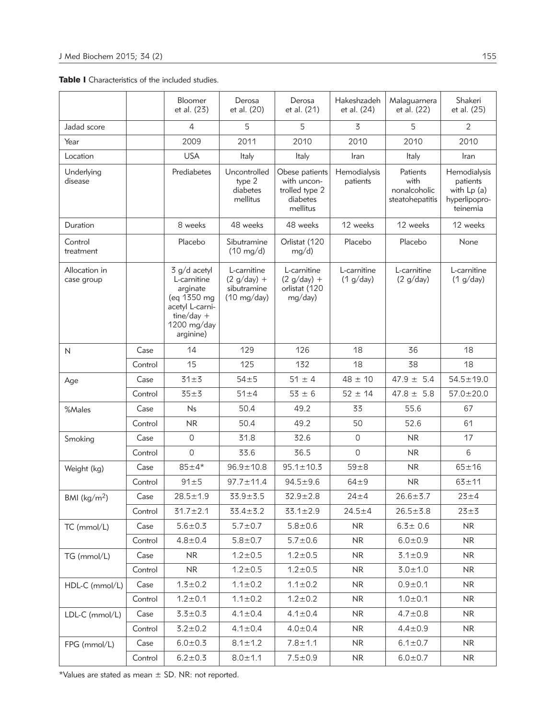Table I Characteristics of the included studies.

|                             |         | Bloomer<br>et al. (23)                                                                                                | Derosa<br>et al. (20)                                                | Derosa<br>et al. (21)                                                   | Hakeshzadeh<br>et al. (24) | Malaguarnera<br>et al. (22)                         | Shakeri<br>et al. (25)                                               |
|-----------------------------|---------|-----------------------------------------------------------------------------------------------------------------------|----------------------------------------------------------------------|-------------------------------------------------------------------------|----------------------------|-----------------------------------------------------|----------------------------------------------------------------------|
| Jadad score                 |         | 4                                                                                                                     | 5                                                                    | 5                                                                       | $\overline{5}$             | 5                                                   | $\overline{2}$                                                       |
| Year                        |         | 2009                                                                                                                  | 2011                                                                 | 2010                                                                    | 2010                       | 2010                                                | 2010                                                                 |
| Location                    |         | <b>USA</b>                                                                                                            | Italy                                                                | Italy                                                                   | Iran                       | Italy                                               | Iran                                                                 |
| Underlying<br>disease       |         | Prediabetes                                                                                                           | Uncontrolled<br>type 2<br>diabetes<br>mellitus                       | Obese patients<br>with uncon-<br>trolled type 2<br>diabetes<br>mellitus | Hemodialysis<br>patients   | Patients<br>with<br>nonalcoholic<br>steatohepatitis | Hemodialysis<br>patients<br>with Lp (a)<br>hyperlipopro-<br>teinemia |
| Duration                    |         | 8 weeks                                                                                                               | 48 weeks                                                             | 48 weeks                                                                | 12 weeks                   | 12 weeks                                            | 12 weeks                                                             |
| Control<br>treatment        |         | Placebo                                                                                                               | Sibutramine<br>$(10 \text{ mg/d})$                                   | Orlistat (120<br>mg/d)                                                  | Placebo                    | Placebo                                             | None                                                                 |
| Allocation in<br>case group |         | 3 g/d acetyl<br>L-carnitine<br>arginate<br>(eq 1350 mg<br>acetyl L-carni-<br>$time/day +$<br>1200 mg/day<br>arginine) | L-carnitine<br>$(2 g/day) +$<br>sibutramine<br>$(10 \text{ mg/day})$ | L-carnitine<br>$(2 g/day) +$<br>orlistat (120<br>mg/day)                | L-carnitine<br>(1 g/day)   | L-carnitine<br>(2 g/day)                            | L-carnitine<br>(1 g/day)                                             |
| N                           | Case    | 14                                                                                                                    | 129                                                                  | 126                                                                     | 18                         | 36                                                  | 18                                                                   |
|                             | Control | 15                                                                                                                    | 125                                                                  | 132                                                                     | 18                         | 38                                                  | 18                                                                   |
| Age                         | Case    | $31 + 3$                                                                                                              | $54 \pm 5$                                                           | $51 \pm 4$                                                              | $48 \pm 10$                | $47.9 \pm 5.4$                                      | $54.5 \pm 19.0$                                                      |
|                             | Control | $35 \pm 3$                                                                                                            | $51 \pm 4$                                                           | $53 \pm 6$                                                              | $52 \pm 14$                | $47.8 \pm 5.8$                                      | $57.0 \pm 20.0$                                                      |
| %Males                      | Case    | Ns                                                                                                                    | 50.4                                                                 | 49.2                                                                    | 33                         | 55.6                                                | 67                                                                   |
|                             | Control | <b>NR</b>                                                                                                             | 50.4                                                                 | 49.2                                                                    | 50                         | 52.6                                                | 61                                                                   |
| Smoking                     | Case    | $\circ$                                                                                                               | 31.8                                                                 | 32.6                                                                    | 0                          | <b>NR</b>                                           | 17                                                                   |
|                             | Control | $\circ$                                                                                                               | 33.6                                                                 | 36.5                                                                    | 0                          | <b>NR</b>                                           | 6                                                                    |
| Weight (kg)                 | Case    | $85 + 4*$                                                                                                             | $96.9 \pm 10.8$                                                      | $95.1 \pm 10.3$                                                         | $59\pm8$                   | NR.                                                 | $65 + 16$                                                            |
|                             | Control | $91 + 5$                                                                                                              | $97.7 \pm 11.4$                                                      | $94.5 \pm 9.6$                                                          | $64 + 9$                   | <b>NR</b>                                           | $63 + 11$                                                            |
| BMI (kg/m <sup>2</sup> )    | Case    | $28.5 \pm 1.9$                                                                                                        | $33.9 + 3.5$                                                         | $32.9 \pm 2.8$                                                          | $24 + 4$                   | $26.6 + 3.7$                                        | $23 + 4$                                                             |
|                             | Control | $31.7 \pm 2.1$                                                                                                        | $33.4 \pm 5.2$                                                       | $33.1 \pm 2.9$                                                          | $24.5 + 4$                 | $26.5 \pm 3.8$                                      | $23 \pm 3$                                                           |
| TC (mmol/L)                 | Case    | $5.6 + 0.3$                                                                                                           | $5.7 \pm 0.7$                                                        | $5.8 + 0.6$                                                             | NR.                        | $6.3 \pm 0.6$                                       | NR.                                                                  |
|                             | Control | $4.8 + 0.4$                                                                                                           | $5.8 + 0.7$                                                          | $5.7 \pm 0.6$                                                           | <b>NR</b>                  | $6.0 + 0.9$                                         | <b>NR</b>                                                            |
| TG (mmol/L)                 | Case    | <b>NR</b>                                                                                                             | $1.2 \pm 0.5$                                                        | $1.2 \pm 0.5$                                                           | NR.                        | $3.1 \pm 0.9$                                       | <b>NR</b>                                                            |
|                             | Control | <b>NR</b>                                                                                                             | $1.2 \pm 0.5$                                                        | $1.2 \pm 0.5$                                                           | NR.                        | $3.0 + 1.0$                                         | NR.                                                                  |
| HDL-C (mmol/L)              | Case    | $1.3 \pm 0.2$                                                                                                         | $1.1 \pm 0.2$                                                        | $1.1 \pm 0.2$                                                           | NR                         | $0.9 + 0.1$                                         | <b>NR</b>                                                            |
|                             | Control | $1.2 \pm 0.1$                                                                                                         | $1.1 \pm 0.2$                                                        | $1.2 \pm 0.2$                                                           | NR.                        | $1.0 + 0.1$                                         | <b>NR</b>                                                            |
| LDL-C (mmol/L)              | Case    | $3.3 \pm 0.3$                                                                                                         | $4.1 \pm 0.4$                                                        | $4.1 \pm 0.4$                                                           | NR.                        | $4.7 \pm 0.8$                                       | <b>NR</b>                                                            |
|                             | Control | $3.2 \pm 0.2$                                                                                                         | $4.1 \pm 0.4$                                                        | $4.0 \pm 0.4$                                                           | NR.                        | $4.4 \pm 0.9$                                       | <b>NR</b>                                                            |
| FPG (mmol/L)                | Case    | $6.0 + 0.3$                                                                                                           | $8.1 \pm 1.2$                                                        | $7.8 + 1.1$                                                             | NR.                        | $6.1 \pm 0.7$                                       | <b>NR</b>                                                            |
|                             | Control | $6.2 + 0.3$                                                                                                           | $8.0 \pm 1.1$                                                        | $7.5 + 0.9$                                                             | <b>NR</b>                  | $6.0 + 0.7$                                         | <b>NR</b>                                                            |

\*Values are stated as mean  $\pm$  SD. NR: not reported.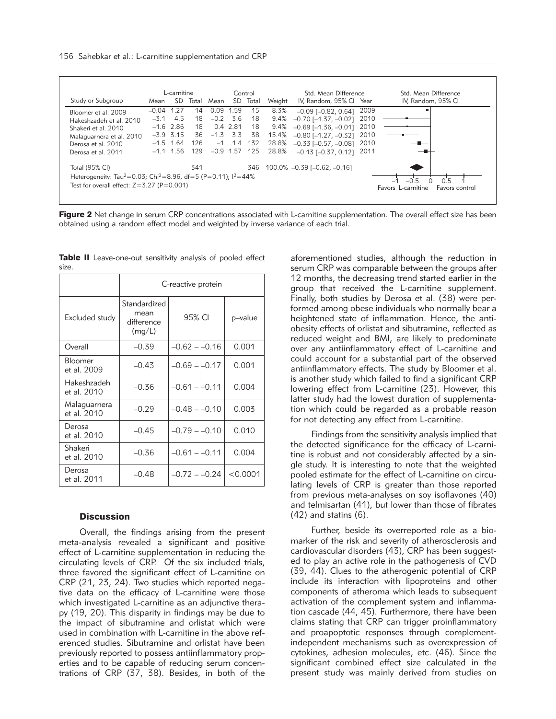|                                                                                          | L-carnitine |             | Control |             |            | Std. Mean Difference |        | Std. Mean Difference               |                                                             |                    |
|------------------------------------------------------------------------------------------|-------------|-------------|---------|-------------|------------|----------------------|--------|------------------------------------|-------------------------------------------------------------|--------------------|
| Study or Subgroup                                                                        | Mean        | SD.         | Total   | Mean        |            | SD Total             | Weight | IV, Random, 95% Cl Year            |                                                             | IV, Random, 95% CI |
| Bloomer et al. 2009                                                                      | $-0.04$     | 1.27        | 14      | 0.09        | 1.59       | 15                   | 8.3%   | $-0.09$ [ $-0.82$ , 0.64]          | 2009                                                        |                    |
| Hakeshzadeh et al. 2010                                                                  | $-3.1$      | 4.5         | 18      | $-0.2$      | - 3.6      | 18                   | 9.4%   | $-0.70$ [ $-1.37$ , $-0.02$ ]      | 2010                                                        |                    |
| Shakeri et al. 2010                                                                      |             | $-1.6$ 2.86 | 18      |             | 0.4 2.81   | 18                   | 9.4%   | $-0.69$ [ $-1.36$ , $-0.01$ ] 2010 |                                                             |                    |
| Malaguarnera et al. 2010                                                                 |             | $-3.9$ 3.15 | 36      |             | $-1.3$ 3.3 | 38                   | 15.4%  | $-0.80$ [ $-1.27$ , $-0.32$ ] 2010 |                                                             |                    |
| Derosa et al. 2010                                                                       |             | $-1.5$ 1.64 | 126     |             | $-1$ 1.4   | 132                  | 28.8%  | $-0.33$ [ $-0.57$ , $-0.08$ ]      | 2010                                                        |                    |
| Derosa et al. 2011                                                                       | $-1.1$      | - 1.56      | 129     | $-0.9$ 1.57 |            | 125                  | 28.8%  | $-0.13$ [ $-0.37$ , 0.12]          | -2011                                                       |                    |
| Total (95% CI)                                                                           |             |             | 341     |             |            | 346                  |        | 100.0% -0.39 [-0.62, -0.16]        |                                                             |                    |
| Heterogeneity: Tau <sup>2</sup> =0.03; Chi <sup>2</sup> =8.96, df=5 (P=0.11); $1^2$ =44% |             |             |         |             |            |                      |        |                                    |                                                             |                    |
| Test for overall effect: $Z=3.27$ (P=0.001)                                              |             |             |         |             |            |                      |        |                                    | 05<br>$-0.5$<br>Favors L-carnitine<br><b>Favors</b> control |                    |

Figure 2 Net change in serum CRP concentrations associated with L-carnitine supplementation. The overall effect size has been obtained using a random effect model and weighted by inverse variance of each trial.

|                             | C-reactive protein                           |                 |          |  |  |  |  |
|-----------------------------|----------------------------------------------|-----------------|----------|--|--|--|--|
| Excluded study              | Standardized<br>mean<br>difference<br>(mg/L) | 95% CI          | p-value  |  |  |  |  |
| Overall                     | $-0.39$                                      | $-0.62 - -0.16$ | 0.001    |  |  |  |  |
| Bloomer<br>et al. 2009      | $-0.43$                                      | $-0.69 - -0.17$ | 0.001    |  |  |  |  |
| Hakeshzadeh<br>et al. 2010  | $-0.36$                                      | $-0.61 - -0.11$ | 0.004    |  |  |  |  |
| Malaguarnera<br>et al. 2010 | $-0.29$                                      | $-0.48 - -0.10$ | 0.003    |  |  |  |  |
| Derosa<br>et al. 2010       | $-0.45$                                      | $-0.79 - -0.10$ | 0.010    |  |  |  |  |
| Shakeri<br>et al. 2010      | $-0.36$                                      | $-0.61 - -0.11$ | 0.004    |  |  |  |  |
| Derosa<br>et al. 2011       | $-0.48$                                      | $-0.72 - -0.24$ | < 0.0001 |  |  |  |  |

Table II Leave-one-out sensitivity analysis of pooled effect size.

# **Discussion**

Overall, the findings arising from the present meta-analysis revealed a significant and positive effect of L-carnitine supplementation in reducing the circulating levels of CRP. Of the six included trials, three favored the significant effect of L-carnitine on CRP (21, 23, 24). Two studies which reported negative data on the efficacy of L-carnitine were those which investigated L-carnitine as an adjunctive therapy (19, 20). This disparity in findings may be due to the impact of sibutramine and orlistat which were used in combination with L-carnitine in the above referenced studies. Sibutramine and orlistat have been previously reported to possess antiinflammatory properties and to be capable of reducing serum concentrations of CRP (37, 38). Besides, in both of the aforementioned studies, although the reduction in serum CRP was comparable between the groups after 12 months, the decreasing trend started earlier in the group that received the L-carnitine supplement. Finally, both studies by Derosa et al. (38) were performed among obese individuals who normally bear a heightened state of inflammation. Hence, the antiobesity effects of orlistat and sibutramine, reflected as reduced weight and BMI, are likely to predominate over any antiinflammatory effect of L-carnitine and could account for a substantial part of the observed antiinflammatory effects. The study by Bloomer et al. is another study which failed to find a significant CRP lowering effect from L-carnitine (23). However, this latter study had the lowest duration of supplementation which could be regarded as a probable reason for not detecting any effect from L-carnitine.

Findings from the sensitivity analysis implied that the detected significance for the efficacy of L-carnitine is robust and not considerably affected by a single study. It is interesting to note that the weighted pooled estimate for the effect of L-carnitine on circulating levels of CRP is greater than those reported from previous meta-analyses on soy isoflavones (40) and telmisartan (41), but lower than those of fibrates (42) and statins (6).

Further, beside its overreported role as a biomarker of the risk and severity of atherosclerosis and cardiovascular disorders (43), CRP has been suggested to play an active role in the pathogenesis of CVD (39, 44). Clues to the atherogenic potential of CRP include its interaction with lipoproteins and other components of atheroma which leads to subsequent activation of the complement system and inflammation cascade (44, 45). Furthermore, there have been claims stating that CRP can trigger proinflammatory and proapoptotic responses through complementindependent mechanisms such as overexpression of cytokines, adhesion molecules, etc. (46). Since the significant combined effect size calculated in the present study was mainly derived from studies on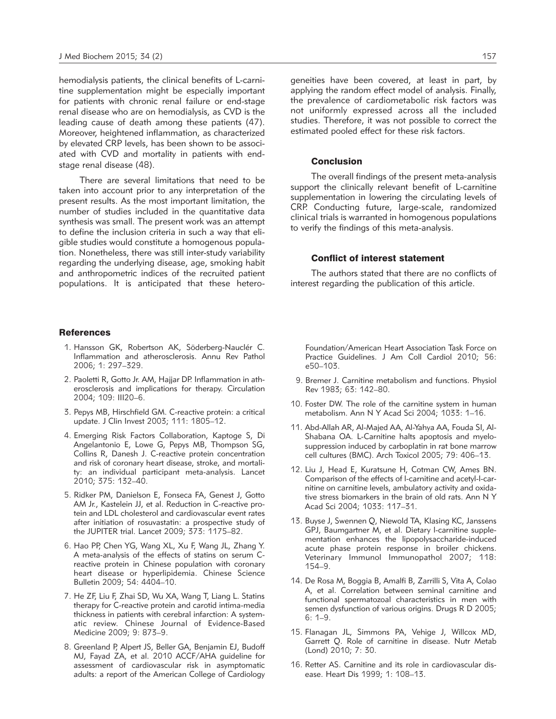hemodialysis patients, the clinical benefits of L-carnitine supplementation might be especially important for patients with chronic renal failure or end-stage renal disease who are on hemodialysis, as CVD is the leading cause of death among these patients (47). Moreover, heightened inflammation, as characterized by elevated CRP levels, has been shown to be associated with CVD and mortality in patients with endstage renal disease (48).

There are several limitations that need to be taken into account prior to any interpretation of the present results. As the most important limitation, the number of studies included in the quantitative data synthesis was small. The present work was an attempt to define the inclusion criteria in such a way that eligible studies would constitute a homogenous population. Nonetheless, there was still inter-study variability regarding the underlying disease, age, smoking habit and anthropometric indices of the recruited patient populations. It is anticipated that these hetero-

## **References**

- 1. Hansson GK, Robertson AK, Söderberg-Nauclér C. Inflammation and atherosclerosis. Annu Rev Pathol 2006; 1: 297–329.
- 2. Paoletti R, Gotto Jr. AM, Hajjar DP. Inflammation in atherosclerosis and implications for therapy. Circulation 2004; 109: III20–6.
- 3. Pepys MB, Hirschfield GM. C-reactive protein: a critical update. J Clin Invest 2003; 111: 1805–12.
- 4. Emerging Risk Factors Collaboration, Kaptoge S, Di Angelantonio E, Lowe G, Pepys MB, Thompson SG, Collins R, Danesh J. C-reactive protein concentration and risk of coronary heart disease, stroke, and mortality: an individual participant meta-analysis. Lancet 2010; 375: 132–40.
- 5. Ridker PM, Danielson E, Fonseca FA, Genest J, Gotto AM Jr., Kastelein JJ, et al. Reduction in C-reactive protein and LDL cholesterol and cardiovascular event rates after initiation of rosuvastatin: a prospective study of the JUPITER trial. Lancet 2009; 373: 1175–82.
- 6. Hao PP, Chen YG, Wang XL, Xu F, Wang JL, Zhang Y. A meta-analysis of the effects of statins on serum Creactive protein in Chinese population with coronary heart disease or hyperlipidemia. Chinese Science Bulletin 2009; 54: 4404–10.
- 7. He ZF, Liu F, Zhai SD, Wu XA, Wang T, Liang L. Statins therapy for C-reactive protein and carotid intima-media thickness in patients with cerebral infarction: A systematic review. Chinese Journal of Evidence-Based Medicine 2009; 9: 873–9.
- 8. Greenland P, Alpert JS, Beller GA, Benjamin EJ, Budoff MJ, Fayad ZA, et al. 2010 ACCF/AHA guideline for assessment of cardiovascular risk in asymptomatic adults: a report of the American College of Cardiology

geneities have been covered, at least in part, by applying the random effect model of analysis. Finally, the prevalence of cardiometabolic risk factors was not uniformly expressed across all the included studies. Therefore, it was not possible to correct the estimated pooled effect for these risk factors.

# Conclusion

The overall findings of the present meta-analysis support the clinically relevant benefit of L-carnitine supplementation in lowering the circulating levels of CRP. Conducting future, large-scale, randomized clinical trials is warranted in homogenous populations to verify the findings of this meta-analysis.

#### Conflict of interest statement

The authors stated that there are no conflicts of interest regarding the publication of this article.

Foundation/American Heart Association Task Force on Practice Guidelines. J Am Coll Cardiol 2010; 56: e50–103.

- 9. Bremer J. Carnitine metabolism and functions. Physiol Rev 1983; 63: 142–80.
- 10. Foster DW. The role of the carnitine system in human metabolism. Ann N Y Acad Sci 2004; 1033: 1–16.
- 11. Abd-Allah AR, Al-Majed AA, Al-Yahya AA, Fouda SI, Al-Shabana OA. L-Carnitine halts apoptosis and myelosuppression induced by carboplatin in rat bone marrow cell cultures (BMC). Arch Toxicol 2005; 79: 406–13.
- 12. Liu J, Head E, Kuratsune H, Cotman CW, Ames BN. Comparison of the effects of l-carnitine and acetyl-l-carnitine on carnitine levels, ambulatory activity and oxidative stress biomarkers in the brain of old rats. Ann N Y Acad Sci 2004; 1033: 117–31.
- 13. Buyse J, Swennen Q, Niewold TA, Klasing KC, Janssens GPJ, Baumgartner M, et al. Dietary l-carnitine supplementation enhances the lipopolysaccharide-induced acute phase protein response in broiler chickens. Veterinary Immunol Immunopathol 2007; 118: 154–9.
- 14. De Rosa M, Boggia B, Amalfi B, Zarrilli S, Vita A, Colao A, et al. Correlation between seminal carnitine and functional spermatozoal characteristics in men with semen dysfunction of various origins. Drugs R D 2005; 6: 1–9.
- 15. Flanagan JL, Simmons PA, Vehige J, Willcox MD, Garrett Q. Role of carnitine in disease. Nutr Metab (Lond) 2010; 7: 30.
- 16. Retter AS. Carnitine and its role in cardiovascular disease. Heart Dis 1999; 1: 108–13.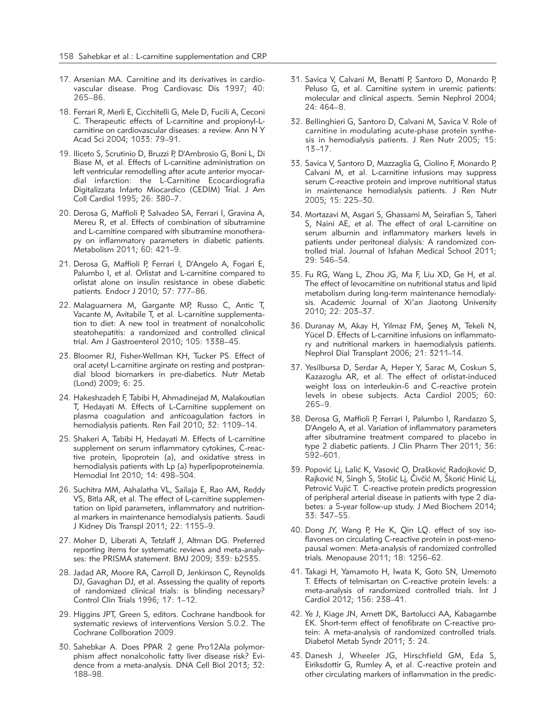- 17. Arsenian MA. Carnitine and its derivatives in cardiovascular disease. Prog Cardiovasc Dis 1997; 40: 265–86.
- 18. Ferrari R, Merli E, Cicchitelli G, Mele D, Fucili A, Ceconi C. Therapeutic effects of L-carnitine and propionyl-Lcarnitine on cardiovascular diseases: a review. Ann N Y Acad Sci 2004; 1033: 79–91.
- 19. Iliceto S, Scrutinio D, Bruzzi P, D'Ambrosio G, Boni L, Di Biase M, et al. Effects of L-carnitine administration on left ventricular remodelling after acute anterior myocardial infarction: the L-Carnitine Ecocardiografia Digitalizzata Infarto Miocardico (CEDIM) Trial. J Am Coll Cardiol 1995; 26: 380–7.
- 20. Derosa G, Maffioli P, Salvadeo SA, Ferrari I, Gravina A, Mereu R, et al. Effects of combination of sibutramine and L-carnitine compared with sibutramine monotherapy on inflammatory parameters in diabetic patients. Metabolism 2011; 60: 421–9.
- 21. Derosa G, Maffioli P, Ferrari I, D'Angelo A, Fogari E, Palumbo I, et al. Orlistat and L-carnitine compared to orlistat alone on insulin resistance in obese diabetic patients. Endocr J 2010; 57: 777–86.
- 22. Malaguarnera M, Gargante MP, Russo C, Antic T, Vacante M, Avitabile T, et al. L-carnitine supplementation to diet: A new tool in treatment of nonalcoholic steatohepatitis: a randomized and controlled clinical trial. Am J Gastroenterol 2010; 105: 1338–45.
- 23. Bloomer RJ, Fisher-Wellman KH, Tucker PS. Effect of oral acetyl L-carnitine arginate on resting and postprandial blood biomarkers in pre-diabetics. Nutr Metab (Lond) 2009; 6: 25.
- 24. Hakeshzadeh F, Tabibi H, Ahmadinejad M, Malakoutian T, Hedayati M. Effects of L-Carnitine supplement on plasma coagulation and anticoagulation factors in hemodialysis patients. Ren Fail 2010; 32: 1109–14.
- 25. Shakeri A, Tabibi H, Hedayati M. Effects of L-carnitine supplement on serum inflammatory cytokines, C-reactive protein, lipoprotein (a), and oxidative stress in hemodialysis patients with Lp (a) hyperlipoproteinemia. Hemodial Int 2010; 14: 498–504.
- 26. Suchitra MM, Ashalatha VL, Sailaja E, Rao AM, Reddy VS, Bitla AR, et al. The effect of L-carnitine supplementation on lipid parameters, inflammatory and nutritional markers in maintenance hemodialysis patients. Saudi J Kidney Dis Transpl 2011; 22: 1155–9.
- 27. Moher D, Liberati A, Tetzlaff J, Altman DG. Preferred reporting items for systematic reviews and meta-analyses: the PRISMA statement. BMJ 2009; 339: b2535.
- 28. Jadad AR, Moore RA, Carroll D, Jenkinson C, Reynolds DJ, Gavaghan DJ, et al. Assessing the quality of reports of randomized clinical trials: is blinding necessary? Control Clin Trials 1996; 17: 1–12.
- 29. Higgins JPT, Green S, editors. Cochrane handbook for systematic reviews of interventions Version 5.0.2. The Cochrane Collboration 2009.
- 30. Sahebkar A. Does PPAR 2 gene Pro12Ala polymorphism affect nonalcoholic fatty liver disease risk? Evidence from a meta-analysis. DNA Cell Biol 2013; 32: 188–98.
- 31. Savica V, Calvani M, Benatti P, Santoro D, Monardo P, Peluso G, et al. Carnitine system in uremic patients: molecular and clinical aspects. Semin Nephrol 2004; 24: 464–8.
- 32. Bellinghieri G, Santoro D, Calvani M, Savica V. Role of carnitine in modulating acute-phase protein synthesis in hemodialysis patients. J Ren Nutr 2005; 15: 13–17.
- 33. Savica V, Santoro D, Mazzaglia G, Ciolino F, Monardo P, Calvani M, et al. L-carnitine infusions may suppress serum C-reactive protein and improve nutritional status in maintenance hemodialysis patients. J Ren Nutr 2005; 15: 225–30.
- 34. Mortazavi M, Asgari S, Ghassami M, Seirafian S, Taheri S, Naini AE, et al. The effect of oral L-carnitine on serum albumin and inflammatory markers levels in patients under peritoneal dialysis: A randomized controlled trial. Journal of Isfahan Medical School 2011; 29: 546–54.
- 35. Fu RG, Wang L, Zhou JG, Ma F, Liu XD, Ge H, et al. The effect of levocarnitine on nutritional status and lipid metabolism during long-term maintenance hemodialysis. Academic Journal of Xi'an Jiaotong University 2010; 22: 203–37.
- 36. Duranay M, Akay H, Yilmaz FM, Şeneş M, Tekeli N, Yücel D. Effects of L-carnitine infusions on inflammatory and nutritional markers in haemodialysis patients. Nephrol Dial Transplant 2006; 21: 3211–14.
- 37. Yesilbursa D, Serdar A, Heper Y, Sarac M, Coskun S, Kazazoglu AR, et al. The effect of orlistat-induced weight loss on interleukin-6 and C-reactive protein levels in obese subjects. Acta Cardiol 2005; 60: 265–9.
- 38. Derosa G, Maffioli P, Ferrari I, Palumbo I, Randazzo S, D'Angelo A, et al. Variation of inflammatory parameters after sibutramine treatment compared to placebo in type 2 diabetic patients. J Clin Pharm Ther 2011; 36: 592–601.
- 39. Popović Lj, Lalić K, Vasović O, Drašković Radojković D, Rajković N, Singh S, Stošić Lj, Čivčić M, Škorić Hinić Lj, Petrović Vujić T. C-reactive protein predicts progression of peripheral arterial disease in patients with type 2 diabetes: a 5-year follow-up study. J Med Biochem 2014; 33: 347–55.
- 40. Dong JY, Wang P, He K, Qin LQ. effect of soy isoflavones on circulating C-reactive protein in post-menopausal women: Meta-analysis of randomized controlled trials. Menopause 2011; 18: 1256–62.
- 41. Takagi H, Yamamoto H, Iwata K, Goto SN, Umemoto T. Effects of telmisartan on C-reactive protein levels: a meta-analysis of randomized controlled trials. Int J Cardiol 2012; 156: 238–41.
- 42. Ye J, Kiage JN, Arnett DK, Bartolucci AA, Kabagambe EK. Short-term effect of fenofibrate on C-reactive protein: A meta-analysis of randomized controlled trials. Diabetol Metab Syndr 2011; 3: 24.
- 43. Danesh J, Wheeler JG, Hirschfield GM, Eda S, Eiriksdottir G, Rumley A, et al. C-reactive protein and other circulating markers of inflammation in the predic-